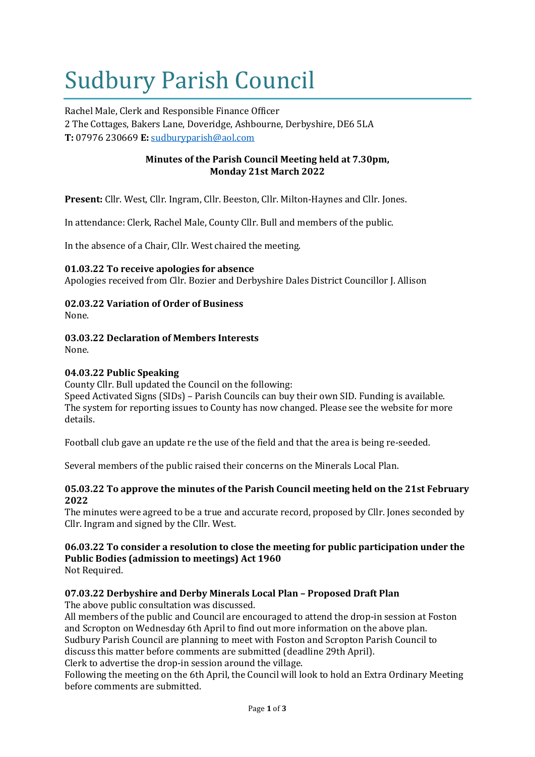# Sudbury Parish Council

Rachel Male, Clerk and Responsible Finance Officer 2 The Cottages, Bakers Lane, Doveridge, Ashbourne, Derbyshire, DE6 5LA **T:** 07976 230669 **E:** [sudburyparish@aol.com](mailto:sudburyparish@aol.com)

#### **Minutes of the Parish Council Meeting held at 7.30pm, Monday 21st March 2022**

**Present:** Cllr. West, Cllr. Ingram, Cllr. Beeston, Cllr. Milton-Haynes and Cllr. Jones.

In attendance: Clerk, Rachel Male, County Cllr. Bull and members of the public.

In the absence of a Chair, Cllr. West chaired the meeting.

#### **01.03.22 To receive apologies for absence**

Apologies received from Cllr. Bozier and Derbyshire Dales District Councillor J. Allison

### **02.03.22 Variation of Order of Business**

None.

**03.03.22 Declaration of Members Interests** None.

#### **04.03.22 Public Speaking**

County Cllr. Bull updated the Council on the following: Speed Activated Signs (SIDs) – Parish Councils can buy their own SID. Funding is available. The system for reporting issues to County has now changed. Please see the website for more details.

Football club gave an update re the use of the field and that the area is being re-seeded.

Several members of the public raised their concerns on the Minerals Local Plan.

#### **05.03.22 To approve the minutes of the Parish Council meeting held on the 21st February 2022**

The minutes were agreed to be a true and accurate record, proposed by Cllr. Jones seconded by Cllr. Ingram and signed by the Cllr. West.

#### **06.03.22 To consider a resolution to close the meeting for public participation under the Public Bodies (admission to meetings) Act 1960** Not Required.

#### **07.03.22 Derbyshire and Derby Minerals Local Plan – Proposed Draft Plan**

The above public consultation was discussed.

All members of the public and Council are encouraged to attend the drop-in session at Foston and Scropton on Wednesday 6th April to find out more information on the above plan. Sudbury Parish Council are planning to meet with Foston and Scropton Parish Council to discuss this matter before comments are submitted (deadline 29th April).

Clerk to advertise the drop-in session around the village.

Following the meeting on the 6th April, the Council will look to hold an Extra Ordinary Meeting before comments are submitted.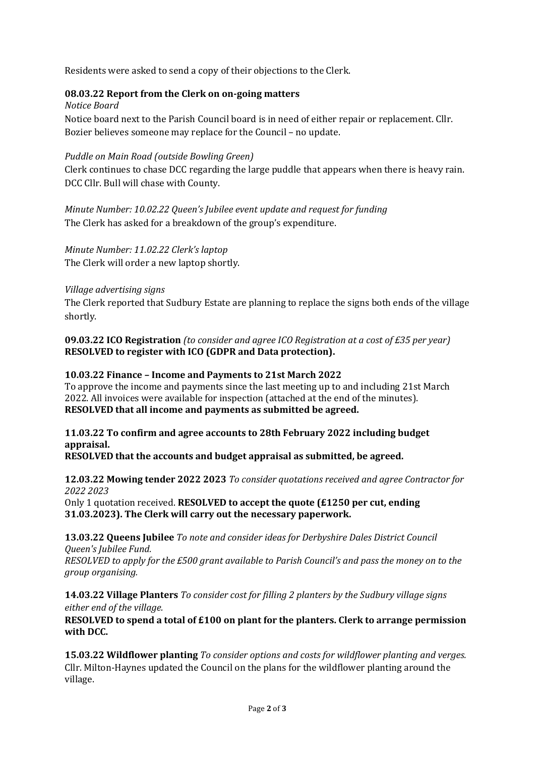Residents were asked to send a copy of their objections to the Clerk.

#### **08.03.22 Report from the Clerk on on-going matters**

*Notice Board* Notice board next to the Parish Council board is in need of either repair or replacement. Cllr. Bozier believes someone may replace for the Council – no update.

#### *Puddle on Main Road (outside Bowling Green)*

Clerk continues to chase DCC regarding the large puddle that appears when there is heavy rain. DCC Cllr. Bull will chase with County.

*Minute Number: 10.02.22 Queen's Jubilee event update and request for funding* The Clerk has asked for a breakdown of the group's expenditure.

*Minute Number: 11.02.22 Clerk's laptop* The Clerk will order a new laptop shortly.

#### *Village advertising signs*

The Clerk reported that Sudbury Estate are planning to replace the signs both ends of the village shortly.

**09.03.22 ICO Registration** *(to consider and agree ICO Registration at a cost of £35 per year)*  **RESOLVED to register with ICO (GDPR and Data protection).**

#### **10.03.22 Finance – Income and Payments to 21st March 2022**

To approve the income and payments since the last meeting up to and including 21st March 2022. All invoices were available for inspection (attached at the end of the minutes). **RESOLVED that all income and payments as submitted be agreed.**

#### **11.03.22 To confirm and agree accounts to 28th February 2022 including budget appraisal.**

**RESOLVED that the accounts and budget appraisal as submitted, be agreed.**

**12.03.22 Mowing tender 2022 2023** *To consider quotations received and agree Contractor for 2022 2023*

Only 1 quotation received. **RESOLVED to accept the quote (£1250 per cut, ending 31.03.2023). The Clerk will carry out the necessary paperwork.**

**13.03.22 Queens Jubilee** *To note and consider ideas for Derbyshire Dales District Council Queen's Jubilee Fund. RESOLVED to apply for the £500 grant available to Parish Council's and pass the money on to the group organising.*

**14.03.22 Village Planters** *To consider cost for filling 2 planters by the Sudbury village signs either end of the village.*

**RESOLVED to spend a total of £100 on plant for the planters. Clerk to arrange permission with DCC.**

**15.03.22 Wildflower planting** *To consider options and costs for wildflower planting and verges.* Cllr. Milton-Haynes updated the Council on the plans for the wildflower planting around the village.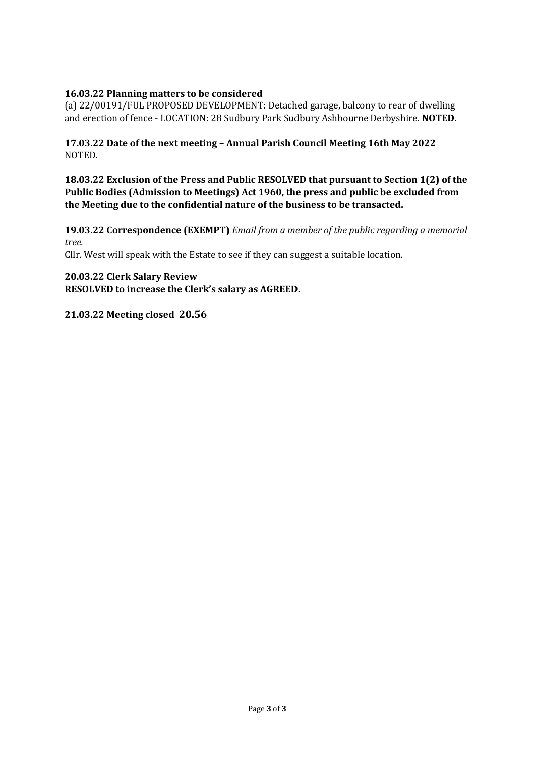#### **16.03.22 Planning matters to be considered**

(a) 22/00191/FUL PROPOSED DEVELOPMENT: Detached garage, balcony to rear of dwelling and erection of fence - LOCATION: 28 Sudbury Park Sudbury Ashbourne Derbyshire. **NOTED.**

**17.03.22 Date of the next meeting – Annual Parish Council Meeting 16th May 2022** NOTED.

**18.03.22 Exclusion of the Press and Public RESOLVED that pursuant to Section 1(2) of the Public Bodies (Admission to Meetings) Act 1960, the press and public be excluded from the Meeting due to the confidential nature of the business to be transacted.**

**19.03.22 Correspondence (EXEMPT)** *Email from a member of the public regarding a memorial tree.*

Cllr. West will speak with the Estate to see if they can suggest a suitable location.

**20.03.22 Clerk Salary Review RESOLVED to increase the Clerk's salary as AGREED.**

**21.03.22 Meeting closed 20.56**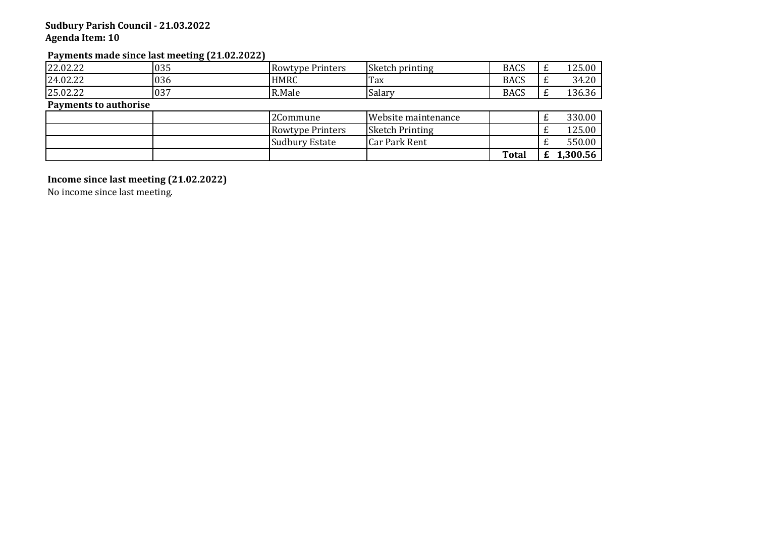#### **Sudbury Parish Council - 21.03.2022 Agenda Item: 10**

#### **Payments made since last meeting (21.02.2022)**

| 22.02.22                     | 035 | <b>Rowtype Printers</b> | Sketch printing        | <b>BACS</b>  | 125.00   |
|------------------------------|-----|-------------------------|------------------------|--------------|----------|
| 24.02.22                     | 036 | <b>HMRC</b>             | Tax                    | <b>BACS</b>  | 34.20    |
| 25.02.22                     | 037 | R.Male                  | Salary                 | <b>BACS</b>  | 136.36   |
| <b>Payments to authorise</b> |     |                         |                        |              |          |
|                              |     | 2Commune                | Website maintenance    |              | 330.00   |
|                              |     | <b>Rowtype Printers</b> | <b>Sketch Printing</b> |              | 125.00   |
|                              |     | <b>Sudbury Estate</b>   | <b>Car Park Rent</b>   |              | 550.00   |
|                              |     |                         |                        | <b>Total</b> | 1,300.56 |

**Income since last meeting (21.02.2022)**

No income since last meeting.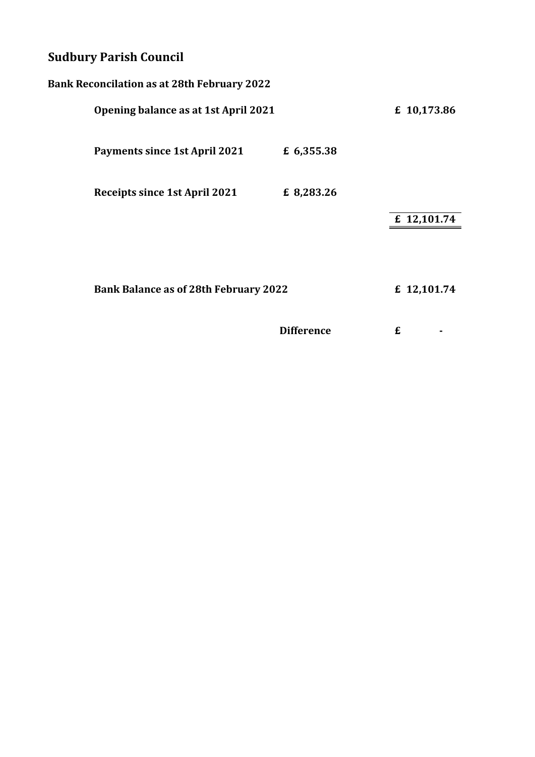# **Sudbury Parish Council**

| <b>Bank Reconcilation as at 28th February 2022</b> |                                      |             |  |  |  |  |
|----------------------------------------------------|--------------------------------------|-------------|--|--|--|--|
|                                                    | Opening balance as at 1st April 2021 |             |  |  |  |  |
| <b>Payments since 1st April 2021</b>               | £ 6,355.38                           |             |  |  |  |  |
| Receipts since 1st April 2021                      | £ 8,283.26                           |             |  |  |  |  |
|                                                    |                                      | £ 12,101.74 |  |  |  |  |
|                                                    |                                      |             |  |  |  |  |
| <b>Bank Balance as of 28th February 2022</b>       |                                      | £ 12,101.74 |  |  |  |  |
|                                                    |                                      |             |  |  |  |  |
|                                                    | <b>Difference</b>                    | £           |  |  |  |  |